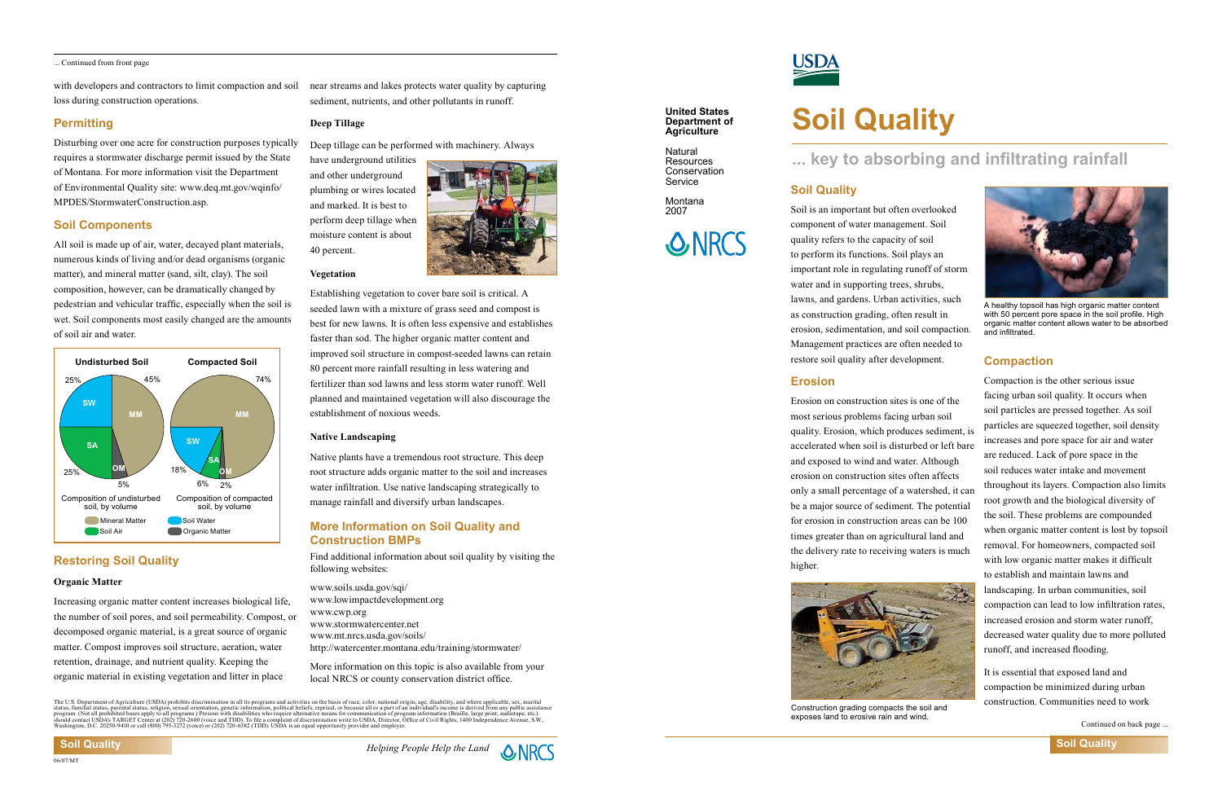### **United States Department of Agriculture**

Natural **Resources Conservation** Service

Montana 2007

# **SONRCS**

# **Soil Quality**

# **Soil Quality**

Soil is an important but often overlooked component of water management. Soil quality refers to the capacity of soil to perform its functions. Soil plays an important role in regulating runoff of storm water and in supporting trees, shrubs, lawns, and gardens. Urban activities, such as construction grading, often result in erosion, sedimentation, and soil compaction. Management practices are often needed to restore soil quality after development.

# **... key to absorbing and infiltrating rainfall**

**Soil Quality**

# **More Information on Soil Quality and Construction BMPs**

Find additional information about soil quality by visiting the following websites:

www.soils.usda.gov/sqi/ www.lowimpactdevelopment.org www.cwp.org www.stormwatercenter.net www.mt.nrcs.usda.gov/soils/ http://watercenter.montana.edu/training/stormwater/

More information on this topic is also available from your local NRCS or county conservation district office.

The U.S. Department of Agriculture (USDA) prohibits discrimination in all its programs and activities on the basis of race, color, national origin, age, disability, and where applicable, sex, marital<br>status, familal status

# <u>USDA</u>

**Erosion** Erosion on construction sites is one of the most serious problems facing urban soil quality. Erosion, which produces sediment, is accelerated when soil is disturbed or left bare and exposed to wind and water. Although erosion on construction sites often affects only a small percentage of a watershed, it can be a major source of sediment. The potential for erosion in construction areas can be 100 times greater than on agricultural land and the delivery rate to receiving waters is much higher. Compaction is the other serious issue facing urban soil quality. It occurs when soil particles are pressed together. As soil particles are squeezed together, soil density increases and pore space for air and water are reduced. Lack of pore space in the soil reduces water intake and movement throughout its layers. Compaction also limits root growth and the biological diversity of the soil. These problems are compounded when organic matter content is lost by topsoil removal. For homeowners, compacted soil with low organic matter makes it difficult to establish and maintain lawns and landscaping. In urban communities, soil compaction can lead to low infiltration rates, increased erosion and storm water runoff, decreased water quality due to more polluted runoff, and increased flooding.



# **Compaction**

It is essential that exposed land and compaction be minimized during urban construction. Communities need to work Construction grading compacts the soil and

Continued on back page



exposes land to erosive rain and wind.

with developers and contractors to limit compaction and soil loss during construction operations.

# **Permitting**

Disturbing over one acre for construction purposes typically requires a stormwater discharge permit issued by the State of Montana. For more information visit the Department of Environmental Quality site: www.deq.mt.gov/wqinfo/ MPDES/StormwaterConstruction.asp.

# **Soil Components**

All soil is made up of air, water, decayed plant materials, numerous kinds of living and/or dead organisms (organic matter), and mineral matter (sand, silt, clay). The soil composition, however, can be dramatically changed by pedestrian and vehicular traffic, especially when the soil is wet. Soil components most easily changed are the amounts of soil air and water.

near streams and lakes protects water quality by capturing sediment, nutrients, and other pollutants in runoff.

# **Deep Tillage**

Deep tillage can be performed with machinery. Always

have underground utilities and other underground plumbing or wires located and marked. It is best to perform deep tillage when moisture content is about 40 percent.



# **Vegetation**

Establishing vegetation to cover bare soil is critical. A seeded lawn with a mixture of grass seed and compost is best for new lawns. It is often less expensive and establishes faster than sod. The higher organic matter content and improved soil structure in compost-seeded lawns can retain 80 percent more rainfall resulting in less watering and fertilizer than sod lawns and less storm water runoff. Well planned and maintained vegetation will also discourage the establishment of noxious weeds.

# **Native Landscaping**

Native plants have a tremendous root structure. This deep root structure adds organic matter to the soil and increases water infiltration. Use native landscaping strategically to manage rainfall and diversify urban landscapes.



A healthy topsoil has high organic matter content with 50 percent pore space in the soil profile. High organic matter content allows water to be absorbed and infiltrated.

# **Restoring Soil Quality**

# **Organic Matter**

Increasing organic matter content increases biological life, the number of soil pores, and soil permeability. Compost, or decomposed organic material, is a great source of organic matter. Compost improves soil structure, aeration, water retention, drainage, and nutrient quality. Keeping the organic material in existing vegetation and litter in place

... Continued from front page